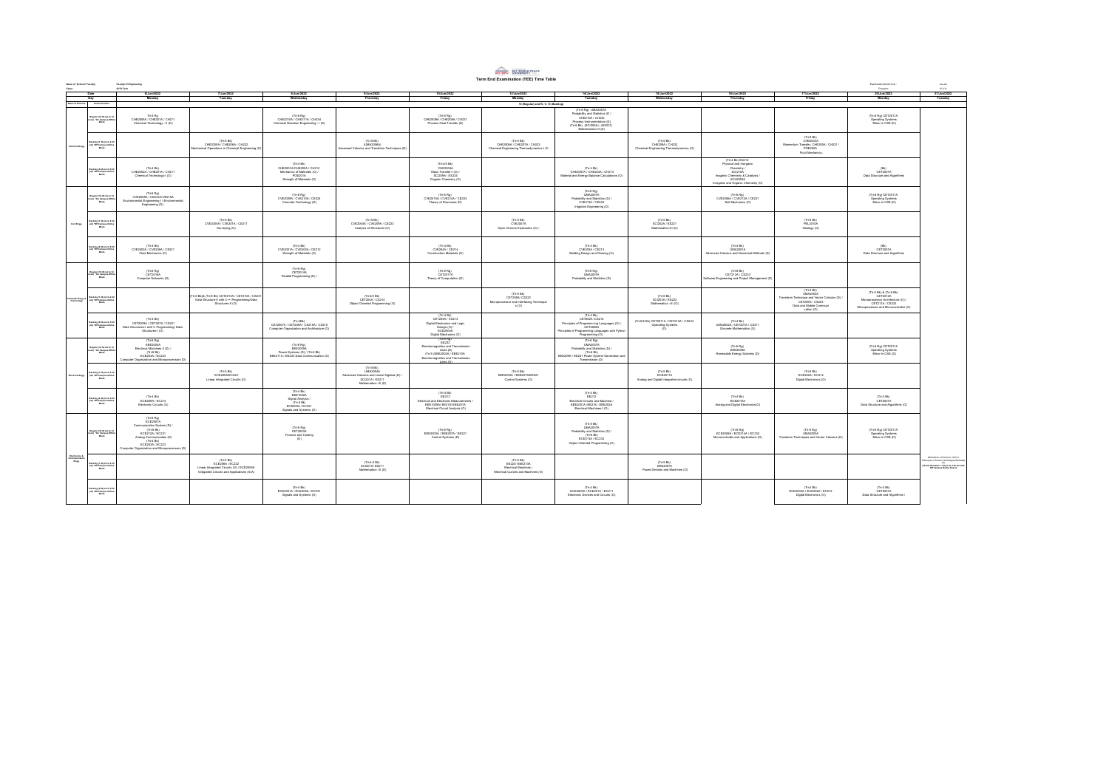| Name of School / Faculty :              |                                                                             | Term End Examination (TEE) Time Table<br><b>Faculty of Engineering</b>                                                                                                                                  |                                                                                                                           |                                                                                                                  |                                                                                                                 |                                                                                                                                                       |                                                                                                 |                                                                                                                                                                  |                                                                            |                                                                                                                                                                    |                                                                                                                                            | Examination Month-Year                                                                                                                | $Jun-22$                                                                                                                                        |
|-----------------------------------------|-----------------------------------------------------------------------------|---------------------------------------------------------------------------------------------------------------------------------------------------------------------------------------------------------|---------------------------------------------------------------------------------------------------------------------------|------------------------------------------------------------------------------------------------------------------|-----------------------------------------------------------------------------------------------------------------|-------------------------------------------------------------------------------------------------------------------------------------------------------|-------------------------------------------------------------------------------------------------|------------------------------------------------------------------------------------------------------------------------------------------------------------------|----------------------------------------------------------------------------|--------------------------------------------------------------------------------------------------------------------------------------------------------------------|--------------------------------------------------------------------------------------------------------------------------------------------|---------------------------------------------------------------------------------------------------------------------------------------|-------------------------------------------------------------------------------------------------------------------------------------------------|
|                                         | Date                                                                        | SY B.Tech<br>6/Jun/2022                                                                                                                                                                                 | 7/Jun/2022                                                                                                                | 8/Jun/2022                                                                                                       | 9/Jun/2022                                                                                                      | 10/Jun/2022                                                                                                                                           | 13/Jun/2022                                                                                     | 14/Jun/2022                                                                                                                                                      | 15/Jun/2022                                                                | 16/Jun/2022                                                                                                                                                        | 17/Jun/2022                                                                                                                                | Trimester:<br>20/Jun/2022                                                                                                             | IV,V,VI<br>21/Jun/2022                                                                                                                          |
| Name of Schools                         | Day<br>Exam Duration                                                        | Monday                                                                                                                                                                                                  |                                                                                                                           |                                                                                                                  | Thursday                                                                                                        | Friday                                                                                                                                                | Monday<br>VI (Regular) and IV, V, VI (Backlog)                                                  | Tuesday                                                                                                                                                          |                                                                            | Thursday                                                                                                                                                           | Friday                                                                                                                                     | Monday                                                                                                                                | Tuesday                                                                                                                                         |
| emical Eng                              | Regular (10.00 am to 12<br>noon) "On Campus Offlin<br>Mode                  | Tri 6 Rg<br>CHE2008A / CHE201A / CH211<br>Chemical Technology - II (D)                                                                                                                                  |                                                                                                                           | (Tri-6 Rg)<br>CHE2010A / CHE211A / CH234<br>Chemical Reaction Engineering - I (D)                                |                                                                                                                 | $(Tri-6 Rg)$<br>CHE2009A / CHE208A / CH231<br>Process Heat Transfer (D)                                                                               |                                                                                                 | (Tri-6 Rg) UMA2007A<br>robability and Statistics (D /<br>CHE210A / CH233<br>Process Instrumentation (D)<br>(Tri-6 Bk) (SCI205A) / (ES231)<br>Mathematics-III (D) |                                                                            |                                                                                                                                                                    |                                                                                                                                            | (Tri-6 Rg) CET2011A<br>Operating Systems<br>Minor in CSE (D)                                                                          |                                                                                                                                                 |
|                                         | Backlog (1.30 pm to 2.30<br>pm) "Off Campus Online<br>Mode                  |                                                                                                                                                                                                         | $(Tri-5 Bk)$<br>CHE2005A / CHE206A / CH222<br>Mechanical Operations in Chemical Engineering (C                            |                                                                                                                  | $(Tri-5 Bk)$<br>(UMA2006A)<br>Advanced Calculus and Transform Techniques (D                                     |                                                                                                                                                       | $(Tri-5 Bk)$<br>CHE2006A / CHE207A / CH223<br>Chemical Engineering Thermodynamics-I (O          |                                                                                                                                                                  | $(Tri-5 Bk)$<br>CHE209A / CH232<br>Chemical Engineering Thermodynamics (O) |                                                                                                                                                                    | (Tri-5 Bk)<br>CHE2003A<br>Momentum Transfer, CHE205A / CH221 /<br>POE202A<br>Fluid Mechanics,                                              |                                                                                                                                       |                                                                                                                                                 |
|                                         | Backlog (4.00 pm to 5.0<br>pm) "Off Campus Onlin<br>Mode                    | $(Tri-4 Bk)$<br>CHE2002A / CHE201A / CH211<br>Chemical Technology-I (O)                                                                                                                                 |                                                                                                                           | $(Tri-4 Bk)$<br>CHE2001A/CHE202A / CH212<br>Mechanics of Materials (O) /<br>POE201A<br>Strength of Materials (O) |                                                                                                                 | $(Tri-4/5 Bk)$<br>CHE2004A<br>Mass Transfer-1 (O) /<br>SCI209A / ES224<br>Organic Chemistry (O)                                                       |                                                                                                 | $(Tn-4 Bk)$<br>CHE2007A / CHE203A / CH213<br>Material and Energy Balance Calculations (O)                                                                        |                                                                            | (Tri-4 Bk) ES212<br>Physical and Inorganic<br>Chemistry /<br>SCI210A<br>Inoganic Chemistry & Catalysis /<br><b>UCH2002A</b><br>Inorganic and Organic Chemistry (O) |                                                                                                                                            | (Bk)<br>CET2001A<br>Data Structure and Algorithms                                                                                     |                                                                                                                                                 |
| Civil Engg.                             | Regular (10.00 am to 12<br>noon) "On Campus Offir<br>Mode                   | (Tri-6 Rg)<br>CVE2008A / CE234/CVE215A<br>Environmental Engineering I / Environmental<br>Engineering (D)                                                                                                |                                                                                                                           | $(Tri-6 Rg)$<br>CVE2009A / CVE210A / CE224<br>Concrete Technology (D)                                            |                                                                                                                 | $(Tri-6 Rg)$<br>CVE2010A / CVE214A / CE233<br>Theory of Structures (D)                                                                                |                                                                                                 | (Tri-6 Rg)<br><b>UMA2007A</b><br>Probability and Statistics (D) /<br>CVE213A / CE232<br>Irrigation Engineering (D)                                               |                                                                            | $(Tn-6 Rg)$<br>CVE2006A / CVE212A / CE231<br>Soil Mechanics (O)                                                                                                    |                                                                                                                                            | (Tri-6 Rg) CET2011A<br>Operating Systems<br>Minor in CSE (D)                                                                          |                                                                                                                                                 |
|                                         | Backlog (1.30 pm to 2.30<br>pm) "Off Campus Online<br>Mode                  |                                                                                                                                                                                                         | (Tri-5 Bk)<br>CVE2005A / CVE201A / CE211<br>Surveying (O)                                                                 |                                                                                                                  | (Tri-5 Bk)<br>CVE2004A / CVE209A / CE223<br>Analysis of Structures (O)                                          |                                                                                                                                                       | (Tri-5 Bk)<br>CVE2007A<br>Open Channel Hydraulics (O) /                                         |                                                                                                                                                                  | (Tri-5 Bk)<br>SCI202A / ES221<br>Mathematics-III (D)                       |                                                                                                                                                                    | (Tri-5 Bk)<br>PEL2010A<br>Geology (O)                                                                                                      |                                                                                                                                       |                                                                                                                                                 |
|                                         | Backlog (4.00 pm to 5.00<br>pm) "Off Campus Online<br>Mode                  | (Tri-4 Bk)<br>CVE2002A / CVE208A / CE221<br>Fluid Mechanics (O)                                                                                                                                         |                                                                                                                           | (Tri-4 Bk)<br>CVE2001A / CVE202A / CE212<br>Strength of Materials (O)                                            |                                                                                                                 | $(Tri-4 Bk)$<br>CVE204A / CE214<br>Construction Materials (O)                                                                                         |                                                                                                 | (Tri-4 Bk)<br>CVE203A / CE213<br>Building Design and Drawing (O)                                                                                                 |                                                                            | (Tri-4 Bk)<br>UMA2001A<br>Advanced Calculus and Numerical Methods (D)                                                                                              |                                                                                                                                            | (Bk)<br>CET2001A<br>Data Structure and Algorithms                                                                                     |                                                                                                                                                 |
| Computer Engg. &<br>Technology          | Regular (10.00 am to 12<br>noon) "On Campus Offin<br>Mode                   | (Tri-6 Rg)<br>CET2016A<br>Computer Networks (D)                                                                                                                                                         |                                                                                                                           | (Tri-6 Rg)<br>CET2014A<br>Parallel Programming (D) /                                                             |                                                                                                                 | $(Tri-6 Rq)$<br>CET2017A<br>Theory of Computation (D)                                                                                                 |                                                                                                 | (Tri-6 Rg)<br><b>UMA2007A</b><br>Probability and Statistics (D)                                                                                                  |                                                                            | (Tri-6 Bk)<br>CET212A / CS233<br>Software Engineering and Project Management (D)                                                                                   |                                                                                                                                            |                                                                                                                                       |                                                                                                                                                 |
|                                         | Backlog (1.30 pm to 2.3<br>pm) "Off Campus Onlin<br>Mode                    |                                                                                                                                                                                                         | Tri-5 Bk)& (Tri-6 Bk) CET2013A / CET210A / CS231<br>Data Structure-II with C++ Programming/Data<br>Structures-II (O)      |                                                                                                                  | $(Tri-4/5 Bk)$<br>CET204A / CS214<br>Object Oriented Programming (O)                                            |                                                                                                                                                       | (Tri-5 Bk)<br>CET208A/ CS222<br>Microprocessor and Interfacing Technique<br>s (O)               |                                                                                                                                                                  | (Tri-5 Bk)<br>SCI203A / ES222<br>Mathematics -- III (O)                    |                                                                                                                                                                    | (Tri-5 Bk)<br><b>UMA2003A</b><br>Transform Technique and Vector Calculus (D) /<br>CET209A / CS223<br>Data and Mobile Communi<br>cation (O) | (Tri-5 Bk) & (Tri-6 Bk)<br>CET2012A<br>Microprocessor Architecture (O) /<br>CET211A / CS232<br>Microprocessor and Microcontroller (O) |                                                                                                                                                 |
|                                         | Backlog (4.00 pm to 5.00<br>pm) "Off Campus Online<br>Mode                  | $(Tri-4 Bk)$<br>CET2009A / CET207A / CS221<br>Data Structures-I with C Programming/ Data<br>Structures-I (O)                                                                                            |                                                                                                                           | (Tri-4Bk)<br>CET2007A / CET205A / CS215A / CS215<br>Computer Organization and Architecture (O)                   |                                                                                                                 | (Tri-4 Bk)<br>CET203A / CS213<br>Digital Electronics and Logic<br>Design (O) /<br>ECE2003A<br>Digital Electronics (O)                                 |                                                                                                 | (Tri-4 Bk)<br>CET202A /CS212<br>Principles of Programm ing Languages (O) /<br>CET2008A<br>Principles of Programming Languages with Python<br>Programming (O)     | (Tri-5/6 Bk) CET2011A / CET213A / CS234<br>Operating Systems<br>(O)        | (Tri-4 Bk)<br>UMA2002A / CET201A / CS211<br>Discrete Mathematics (O)                                                                                               |                                                                                                                                            |                                                                                                                                       |                                                                                                                                                 |
|                                         | Regular (10.00 am to 12<br>noon) "On Campus Offine<br>Mode                  | (Tri-6 Rg)<br>EEE2004A<br>Electrical Machines II (D) /<br>$(Tn-6 Rk)$<br>ECE203A / EC223<br>Computer Organization and Microproce                                                                        |                                                                                                                           | $(Tri-6 Rg)$<br><b>EEE2005A</b><br>Power Systems (D) / (Tri-6 Bk)<br>EEE211A / EE233 Data Communication (D)      |                                                                                                                 | (Tri-6 Rg)<br>EE232<br>Electromagnetics and Transmission<br>Lines (D)<br>(Tri-5 )EEE2002A / EEE210A<br>Electromagnetics and Transmission<br>Lines (O) |                                                                                                 | (Tri-6 Rg)<br>UMA2007A<br>Probability and Statistics (D) /<br>$(Tri-6 Bk)$<br>EEE209A / EE231 Power System Generation and<br>Transmission (D)                    |                                                                            | (Tri-6 Rg)<br>EEE2009A<br>Renewable Energy Systems (D)                                                                                                             |                                                                                                                                            | (Tri-6 Rg) CET2011A<br><b>Operating Systems</b><br>Minor in CSE (D)                                                                   |                                                                                                                                                 |
|                                         | Backlog (1.30 pm to 2.30<br>Electrical Engg. pm) "Off Campus Online<br>Mode |                                                                                                                                                                                                         | $(Tri-5 Bk)$<br>ECE206A/EC222<br>Linear Integrated Circuits (O)                                                           |                                                                                                                  | (Tri-5 Bk)<br>UMA2004A<br>Advanced Calculus and Linear Algebra (D) /<br>SCI201A / ES211<br>Mathematics- III (D) |                                                                                                                                                       | $(Tri-5 Bk)$<br>EEE2003A / EEE207A/EE221<br>Control Systems (O)                                 |                                                                                                                                                                  | $(Tri-5 Bk)$<br>ECE2011A<br>Analog and Digital Integrated circuits (O)     |                                                                                                                                                                    | $(Tri-5 Bk)$<br>ECE202A / EC212<br>Digital Electronics (O)                                                                                 |                                                                                                                                       |                                                                                                                                                 |
|                                         | Backlog (4.00 pm to 5.00<br>pm) "Off Campus Online<br>Mode                  | $(Tri-4 Bk)$<br>ECE209A / EC214<br>Electronic Circuits (O)                                                                                                                                              |                                                                                                                           | (Tri-4 Bk)<br>EEE1002A<br>Signal Analysis /<br>(Tri-5 Bk)<br>ECE205A / EC221<br>Signals and Systems (O)          |                                                                                                                 | $(Tri-4 Bk)$<br>EE213<br>Electrical and Electronic Measurements /<br>EEE1005A/ EE218/ EEE201A<br>Electrical Circuit Analysis (O)                      |                                                                                                 | (Tri-4 Bk)<br>EE212<br>Electrical Circuits and Machine /<br>EEE2001A /EE216 - EEE202A<br>Electrical Machines-I (O)                                               |                                                                            | $(Tri-4 Bk)$<br>ECE2010A<br>Analog and Digital Electronics(O)                                                                                                      |                                                                                                                                            | $(Tri-4 Bk)$<br>CET2001A<br>Data Structure and Algorithms (O)                                                                         |                                                                                                                                                 |
|                                         | Regular (10.00 am to 12<br>noon) "On Campus Offir<br>Mode                   | (Tri-6 Rg)<br>ECE2007A<br>Communication System (D) /<br>$(Tri-6 Bk)$<br>ECE212A / EC231<br>Analog Communication (D)<br>$(Tri-4 Bk)$<br>ECE203A / EC223<br>Computer Organization and Microprocessors (D) |                                                                                                                           | (Tri-6 Rg)<br>FET2003A<br>Finance and Costing<br>(D)                                                             |                                                                                                                 | (Tri-6 Rg)<br>EEE2003A / EEE207A / EE221<br>Control Systems (D)                                                                                       |                                                                                                 | (Tri-5 Bk)<br>UMA2007A<br>Probability and Statistics (D) /<br>$(Tri-6 Bk)$<br>ECE213A / EC232<br>Object Oriented Programming (O)                                 |                                                                            | (Tri-6 Rg)<br>ECE2008A / ECE214A / EC233<br>Microcontroller and Applications (D)                                                                                   | $(Tri-6 Rg)$<br><b>UMA2003A</b><br>Transform Techniques and Vector Calculus (D)                                                            | (Tri-6 Rg) CET2011A<br>Operating Systems<br>Minor in CSE (D)                                                                          |                                                                                                                                                 |
| Electronics &<br>Communication<br>Engg. | Backlog (1.30 pm to 2.30<br>pm) "Off Campus Online<br>Mode                  |                                                                                                                                                                                                         | $(Tn-5 Rk)$<br>ECE206A / EC222<br>Linear Integrated Circuits (O) / ECE2005A<br>Integrated Circuits and Applications (ICA) |                                                                                                                  | (Tri-4-5 Bk)<br>SCI201A/ ES211<br>Mathematics- III (D)                                                          |                                                                                                                                                       | $(Tri-5 Rk)$<br>EE223/ EEE213A<br>Electrical Machines /<br>Electrical Cuircits and Machines (O) |                                                                                                                                                                  | (Tri-5 Bk)<br>FFF2007A<br>Power Devices and Machines (O)                   |                                                                                                                                                                    |                                                                                                                                            |                                                                                                                                       | UPS2004A / WPC501A / WPC4<br>cophy of Science and Religion/Spiritu<br>[C]<br>TExam Duration: 1.30 pm to 2.30 pm with<br>Off Campus Online Exam] |
|                                         | Backlog (4.00 pm to 5.00<br>pm) "Off Campus Online<br>Mode                  |                                                                                                                                                                                                         |                                                                                                                           | (Tri-4 Bk)<br>ECE2001A / ECE205A / EC221<br>Signals and Systems (O)                                              |                                                                                                                 |                                                                                                                                                       |                                                                                                 | (Tri-4 Bk)<br>ECE2002A / ECE201A / EC211<br>Electronic Devices and Circuits (O)                                                                                  |                                                                            |                                                                                                                                                                    | (Tri-4 Bk)<br>ECE2003A / ECE202A / EC212<br>Digital Electronics (O)                                                                        | (Tri-4 Bk)<br>CET2001A<br>Data Structure and Algorithms /                                                                             |                                                                                                                                                 |